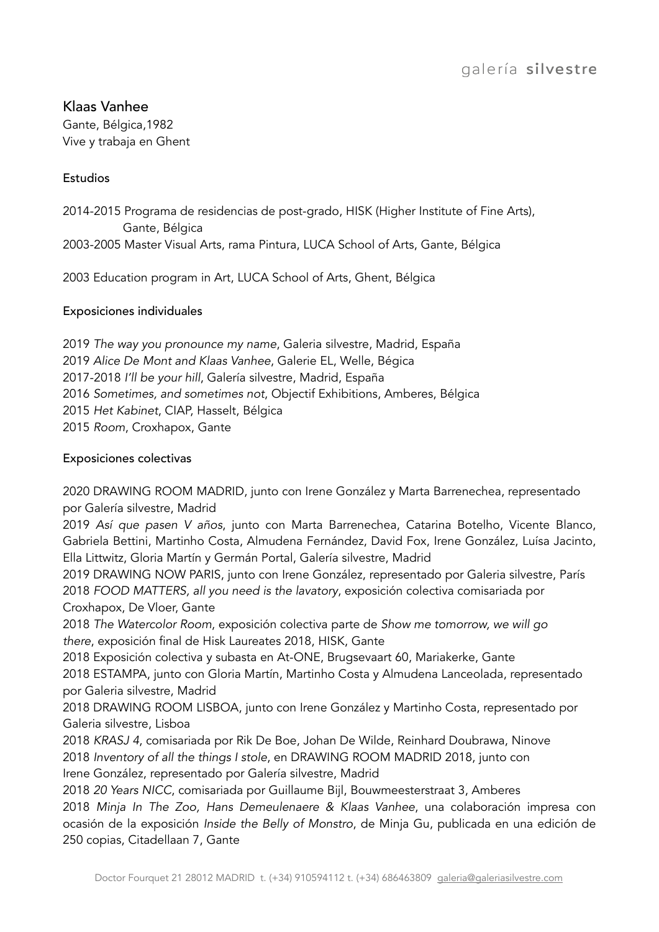# Klaas Vanhee

Gante, Bélgica,1982 Vive y trabaja en Ghent

## Estudios

2014-2015 Programa de residencias de post-grado, HISK (Higher Institute of Fine Arts), Gante, Bélgica 2003-2005 Master Visual Arts, rama Pintura, LUCA School of Arts, Gante, Bélgica

2003 Education program in Art, LUCA School of Arts, Ghent, Bélgica

## Exposiciones individuales

*The way you pronounce my name*, Galeria silvestre, Madrid, España *Alice De Mont and Klaas Vanhee*, Galerie EL, Welle, Bégica 2017-2018 *I'll be your hill*, Galería silvestre, Madrid, España *Sometimes, and sometimes not*, Objectif Exhibitions, Amberes, Bélgica *Het Kabinet*, CIAP, Hasselt, Bélgica *Room*, Croxhapox, Gante

## Exposiciones colectivas

2020 DRAWING ROOM MADRID, junto con Irene González y Marta Barrenechea, representado por Galería silvestre, Madrid

2019 *Así que pasen V años*, junto con Marta Barrenechea, Catarina Botelho, Vicente Blanco, Gabriela Bettini, Martinho Costa, Almudena Fernández, David Fox, Irene González, Luísa Jacinto, Ella Littwitz, Gloria Martín y Germán Portal, Galería silvestre, Madrid

2019 DRAWING NOW PARIS, junto con Irene González, representado por Galeria silvestre, París 2018 *FOOD MATTERS, all you need is the lavatory*, exposición colectiva comisariada por Croxhapox, De Vloer, Gante

2018 *The Watercolor Room*, exposición colectiva parte de *Show me tomorrow, we will go there*, exposición final de Hisk Laureates 2018, HISK, Gante

2018 Exposición colectiva y subasta en At-ONE, Brugsevaart 60, Mariakerke, Gante

2018 ESTAMPA, junto con Gloria Martín, Martinho Costa y Almudena Lanceolada, representado por Galeria silvestre, Madrid

2018 DRAWING ROOM LISBOA, junto con Irene González y Martinho Costa, representado por Galeria silvestre, Lisboa

2018 *KRASJ 4*, comisariada por Rik De Boe, Johan De Wilde, Reinhard Doubrawa, Ninove 2018 *Inventory of all the things I stole*, en DRAWING ROOM MADRID 2018, junto con Irene González, representado por Galería silvestre, Madrid

2018 *20 Years NICC*, comisariada por Guillaume Bijl, Bouwmeesterstraat 3, Amberes

2018 *Minja In The Zoo, Hans Demeulenaere & Klaas Vanhee*, una colaboración impresa con ocasión de la exposición *Inside the Belly of Monstro*, de Minja Gu, publicada en una edición de 250 copias, Citadellaan 7, Gante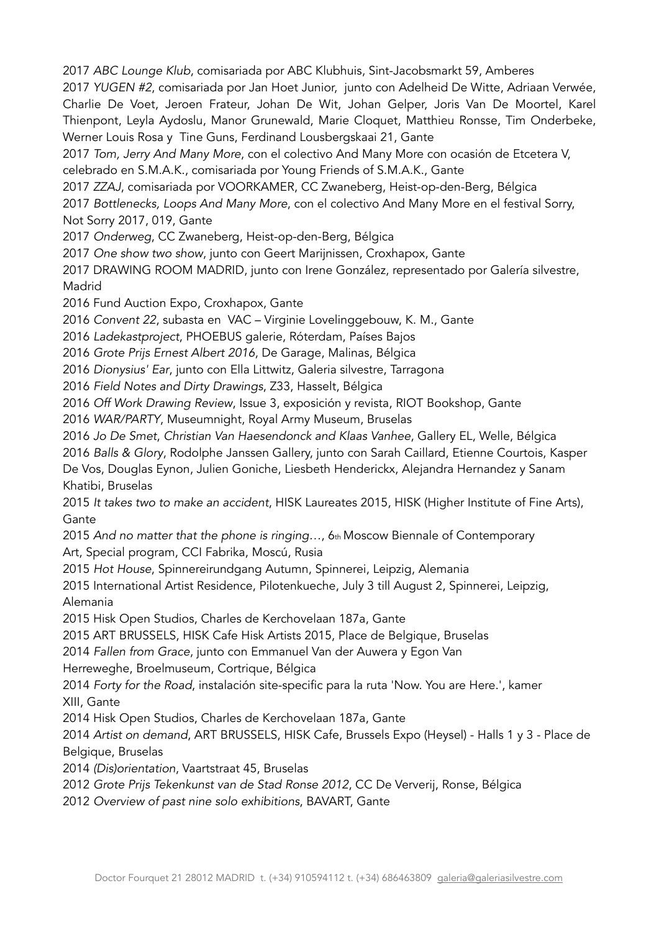2017 *ABC Lounge Klub*, comisariada por ABC Klubhuis, Sint-Jacobsmarkt 59, Amberes

2017 *YUGEN #2*, comisariada por Jan Hoet Junior, junto con Adelheid De Witte, Adriaan Verwée, Charlie De Voet, Jeroen Frateur, Johan De Wit, Johan Gelper, Joris Van De Moortel, Karel Thienpont, Leyla Aydoslu, Manor Grunewald, Marie Cloquet, Matthieu Ronsse, Tim Onderbeke, Werner Louis Rosa y Tine Guns, Ferdinand Lousbergskaai 21, Gante

2017 *Tom, Jerry And Many More*, con el colectivo And Many More con ocasión de Etcetera V, celebrado en S.M.A.K., comisariada por Young Friends of S.M.A.K., Gante

2017 *ZZAJ*, comisariada por VOORKAMER, CC Zwaneberg, Heist-op-den-Berg, Bélgica

2017 *Bottlenecks, Loops And Many More*, con el colectivo And Many More en el festival Sorry, Not Sorry 2017, 019, Gante

2017 *Onderweg*, CC Zwaneberg, Heist-op-den-Berg, Bélgica

2017 *One show two show*, junto con Geert Marijnissen, Croxhapox, Gante

2017 DRAWING ROOM MADRID, junto con Irene González, representado por Galería silvestre, Madrid

2016 Fund Auction Expo, Croxhapox, Gante

2016 *Convent 22*, subasta en VAC – Virginie Lovelinggebouw, K. M., Gante

2016 *Ladekastproject*, PHOEBUS galerie, Róterdam, Países Bajos

2016 *Grote Prijs Ernest Albert 2016*, De Garage, Malinas, Bélgica

2016 *Dionysius' Ear*, junto con Ella Littwitz, Galeria silvestre, Tarragona

2016 *Field Notes and Dirty Drawings*, Z33, Hasselt, Bélgica

2016 *Off Work Drawing Review*, Issue 3, exposición y revista, RIOT Bookshop, Gante

2016 *WAR/PARTY*, Museumnight, Royal Army Museum, Bruselas

2016 *Jo De Smet*, *Christian Van Haesendonck and Klaas Vanhee*, Gallery EL, Welle, Bélgica

2016 *Balls & Glory*, Rodolphe Janssen Gallery, junto con Sarah Caillard, Etienne Courtois, Kasper

De Vos, Douglas Eynon, Julien Goniche, Liesbeth Henderickx, Alejandra Hernandez y Sanam Khatibi, Bruselas

2015 *It takes two to make an accident*, HISK Laureates 2015, HISK (Higher Institute of Fine Arts), **Gante** 

2015 *And no matter that the phone is ringing…*, 6th Moscow Biennale of Contemporary Art, Special program, CCI Fabrika, Moscú, Rusia

2015 *Hot House*, Spinnereirundgang Autumn, Spinnerei, Leipzig, Alemania

2015 International Artist Residence, Pilotenkueche, July 3 till August 2, Spinnerei, Leipzig, Alemania

2015 Hisk Open Studios, Charles de Kerchovelaan 187a, Gante

2015 ART BRUSSELS, HISK Cafe Hisk Artists 2015, Place de Belgique, Bruselas

2014 *Fallen from Grace*, junto con Emmanuel Van der Auwera y Egon Van

Herreweghe, Broelmuseum, Cortrique, Bélgica

2014 *Forty for the Road*, instalación site-specific para la ruta 'Now. You are Here.', kamer XIII, Gante

2014 Hisk Open Studios, Charles de Kerchovelaan 187a, Gante

2014 *Artist on demand*, ART BRUSSELS, HISK Cafe, Brussels Expo (Heysel) - Halls 1 y 3 - Place de Belgique, Bruselas

2014 *(Dis)orientation*, Vaartstraat 45, Bruselas

2012 *Grote Prijs Tekenkunst van de Stad Ronse 2012*, CC De Ververij, Ronse, Bélgica

2012 *Overview of past nine solo exhibitions*, BAVART, Gante